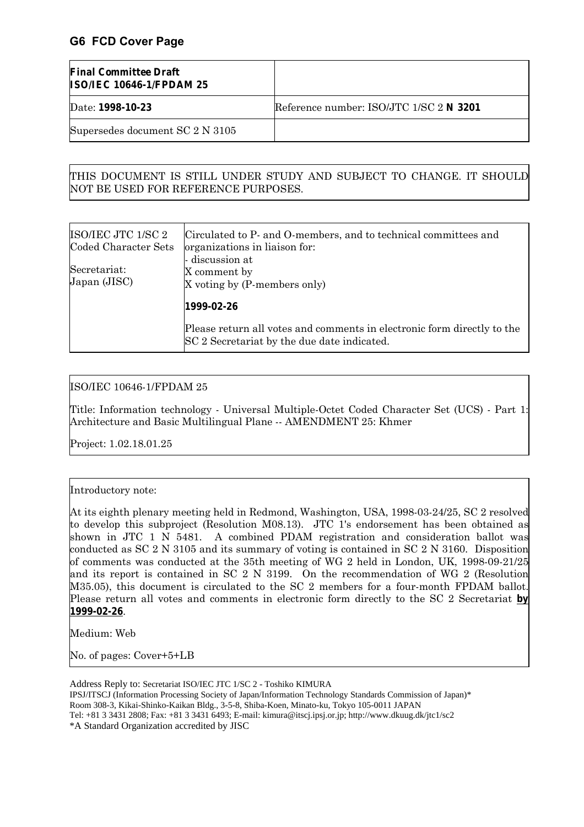# **G6 FCD Cover Page**

| <b>Final Committee Draft</b><br><b>ISO/IEC 10646-1/FPDAM 25</b> |                                         |
|-----------------------------------------------------------------|-----------------------------------------|
| Date: 1998-10-23                                                | Reference number: ISO/JTC 1/SC 2 N 3201 |
| Supersedes document SC 2 N 3105                                 |                                         |

#### THIS DOCUMENT IS STILL UNDER STUDY AND SUBJECT TO CHANGE. IT SHOULD NOT BE USED FOR REFERENCE PURPOSES.

| ISO/IEC JTC 1/SC 2<br>Coded Character Sets | Circulated to P- and O-members, and to technical committees and<br>organizations in liaison for:                       |  |  |  |  |  |
|--------------------------------------------|------------------------------------------------------------------------------------------------------------------------|--|--|--|--|--|
| Secretariat:<br>Japan (JISC)               | - discussion at<br>X comment by<br>X voting by (P-members only)                                                        |  |  |  |  |  |
|                                            | 1999-02-26                                                                                                             |  |  |  |  |  |
|                                            | Please return all votes and comments in electronic form directly to the<br>SC 2 Secretariat by the due date indicated. |  |  |  |  |  |

#### ISO/IEC 10646-1/FPDAM 25

Title: Information technology - Universal Multiple-Octet Coded Character Set (UCS) - Part 1: Architecture and Basic Multilingual Plane -- AMENDMENT 25: Khmer

Project: 1.02.18.01.25

#### Introductory note:

At its eighth plenary meeting held in Redmond, Washington, USA, 1998-03-24/25, SC 2 resolved to develop this subproject (Resolution M08.13). JTC 1's endorsement has been obtained as shown in JTC 1 N 5481. A combined PDAM registration and consideration ballot was conducted as SC 2 N 3105 and its summary of voting is contained in SC 2 N 3160. Disposition of comments was conducted at the 35th meeting of WG 2 held in London, UK, 1998-09-21/25 and its report is contained in SC 2 N 3199. On the recommendation of WG 2 (Resolution M35.05), this document is circulated to the SC 2 members for a four-month FPDAM ballot. Please return all votes and comments in electronic form directly to the SC 2 Secretariat **by 1999-02-26**.

Medium: Web

No. of pages: Cover+5+LB

Address Reply to: Secretariat ISO/IEC JTC 1/SC 2 - Toshiko KIMURA IPSJ/ITSCJ (Information Processing Society of Japan/Information Technology Standards Commission of Japan)\* Room 308-3, Kikai-Shinko-Kaikan Bldg., 3-5-8, Shiba-Koen, Minato-ku, Tokyo 105-0011 JAPAN Tel: +81 3 3431 2808; Fax: +81 3 3431 6493; E-mail: kimura@itscj.ipsj.or.jp; http://www.dkuug.dk/jtc1/sc2 \*A Standard Organization accredited by JISC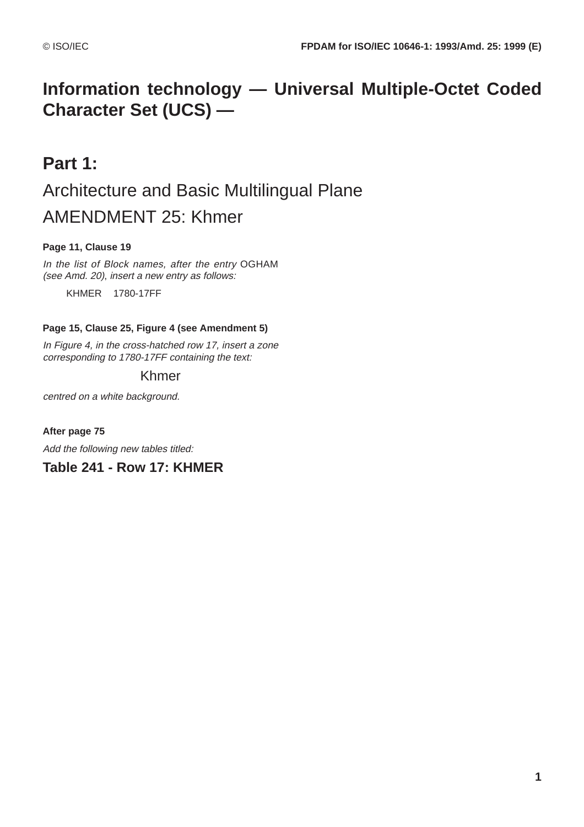# **Information technology — Universal Multiple-Octet Coded Character Set (UCS) —**

# **Part 1:** Architecture and Basic Multilingual Plane AMENDMENT 25: Khmer

# **Page 11, Clause 19**

In the list of Block names, after the entry OGHAM (see Amd. 20), insert a new entry as follows:

KHMER 1780-17FF

#### **Page 15, Clause 25, Figure 4 (see Amendment 5)**

In Figure 4, in the cross-hatched row 17, insert a zone corresponding to 1780-17FF containing the text:

# Khmer

centred on a white background.

**After page 75**

Add the following new tables titled:

# **Table 241 - Row 17: KHMER**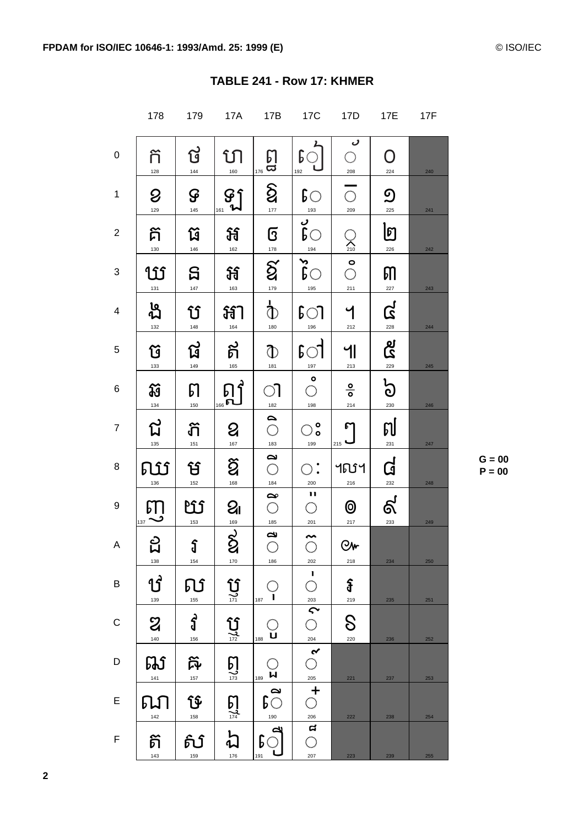|                         | 178                  | 179                                 | <b>17A</b>                                                  | 17B                                                                                        | <b>17C</b>                                                               | 17D                             | 17E                   | <b>17F</b> |
|-------------------------|----------------------|-------------------------------------|-------------------------------------------------------------|--------------------------------------------------------------------------------------------|--------------------------------------------------------------------------|---------------------------------|-----------------------|------------|
| 0                       | ក៊<br>128            | ថ<br>144                            | ហ<br>160                                                    | $\begin{matrix} 1 & 1 \\ 1 & 1 \end{matrix}$                                               | $\begin{bmatrix} 1 & 1 \\ 0 & 1 \\ \frac{1}{192} & 1 \end{bmatrix}$      | ر<br>$\bigcirc$<br>208          | O<br>224              | 240        |
| $\mathbf{1}$            | $\mathcal{Q}$<br>129 | $\mathbf{G}$                        | $\mathcal{G}$<br>161                                        | $\delta$<br>$\frac{177}{177}$                                                              | $\mathsf{c}$<br>$-193$                                                   | $\overline{\bigcirc}$<br>209    | $\mathfrak{D}$<br>225 | 241        |
| $\overline{2}$          | គ៊<br>130            | រ៊ែ<br>146                          | អ<br>162                                                    | G<br>$\frac{178}{1}$                                                                       | $\frac{1}{\beta}$                                                        | $\sum_{210}$                    | ២<br>226              | 242        |
| 3                       | U<br>$131$           | <u>ទ</u><br>147                     | Ħ<br>163                                                    | $\overline{\mathbf{g}}^{-}$<br>179                                                         | $\delta$<br>195                                                          | $\sum_{i=1}^{n}$<br>211         | ៣<br>227              | 243        |
| $\overline{\mathbf{4}}$ | ង<br><b>ង</b><br>132 | ប៌<br>148                           | <b>新</b><br>164                                             | $\overline{\Phi}$<br>180                                                                   | $\mathfrak{g}$<br>196                                                    | $\overline{\mathcal{L}}$<br>212 | <u>က္</u>             | 244        |
| 5                       | ប៊<br>133            | ផ<br>149                            | ត<br>165                                                    | $\mathbb{O}^{\mathbb{C}}$<br>181                                                           | $\mathfrak{g}$<br>197                                                    | ျ<br>213                        | ष्ठ<br>2<br>229       | 245        |
| 6                       | IJ<br>134            | $\boldsymbol{\mathsf{D}}$<br>150    | $\begin{bmatrix} 0 \\ 0 \\ \frac{166}{\hbar} \end{bmatrix}$ | ា                                                                                          | $\mathring{\circ}$<br>198                                                | $\frac{0}{0}$<br>214            | $\frac{1}{2}$<br>230  | 246        |
| $\overline{7}$          | ជ<br>135             | ີທີ<br>151                          | $\mathbf{Q}$<br>$\frac{167}{167}$                           | $\frac{182}{\bigcirc}$                                                                     | $\bigcirc_{\circ}^{\circ}$<br>199                                        | $\int$<br>215                   | <u>ต[</u><br>***      | 247        |
| 8                       | 的<br>136             | ម<br>152                            | $\widetilde{\mathbf{Q}}$<br>168                             | $\begin{array}{c}\n\frac{1}{183} \\ \hline\n\end{array}$                                   | $\circ$ :<br>200                                                         | ៘<br>216                        | $\mathbf{G}$          | 248        |
| $\boldsymbol{9}$        | $\int_{137}$         | LIS<br>153                          | $Q_{I}$<br>169                                              | $\frac{184}{\circ}$<br>$\frac{185}{1}$                                                     | $\frac{1}{\sqrt{1}}$<br>201                                              | $\circledcirc$<br>217           | ද්<br>233             | 249        |
| Α                       | ς<br>Σ<br>138        | $\mathfrak{g}$<br>154               | $\vec{g}$<br>170                                            | $\tilde{\epsilon}$<br>$\bigcirc$<br>186                                                    | $\tilde{\circ}$<br>202                                                   | <b>Ow</b><br>218                | 234                   | 250        |
| B                       | ឋ<br>139             | ល<br>155                            | $\underbrace{\mathbf{\hat{U}}}_{\text{171}}$                | ှ<br>187                                                                                   | ı<br>$\bigcirc$                                                          | Ĵ<br>219                        | 235                   | 251        |
| C                       | $\mathbf{z}$<br>140  | $\mathbf{\hat{d}}$<br>156           | $\mathbf{G}$                                                | ូ<br>188                                                                                   | $\frac{1}{203}$<br>$\frac{1}{204}$<br>$\frac{1}{205}$<br>$\frac{1}{205}$ | $\mathcal{S}$<br>220            | 236                   | 252        |
| D                       | 邸<br>141             | $\boldsymbol{\widetilde{p}}$<br>157 | $\sum_{\substack{173}}$                                     | $\bigcirc_{\scriptscriptstyle{189}}\bigcirc_{\scriptscriptstyle{\boldsymbol{\mathsf{M}}}}$ |                                                                          | 221                             | 237                   | 253        |
| E                       | ណ<br>142             | ឞ៝<br>158                           | $\sum_{\frac{174}{2}}$                                      | $\overline{\mathfrak{c}}$<br>190                                                           |                                                                          | 222                             | 238                   | 254        |
| F                       | ត<br>143             | வி<br>159                           | $\frac{1}{2}$<br>176                                        | $\mathfrak{g}^{\mathbb{Z}}$<br>191                                                         | $\frac{206}{\text{G}}$<br>$\bigcirc$<br>207                              | 223                             | 239                   | 255        |

 $G = 00$  $P = 00$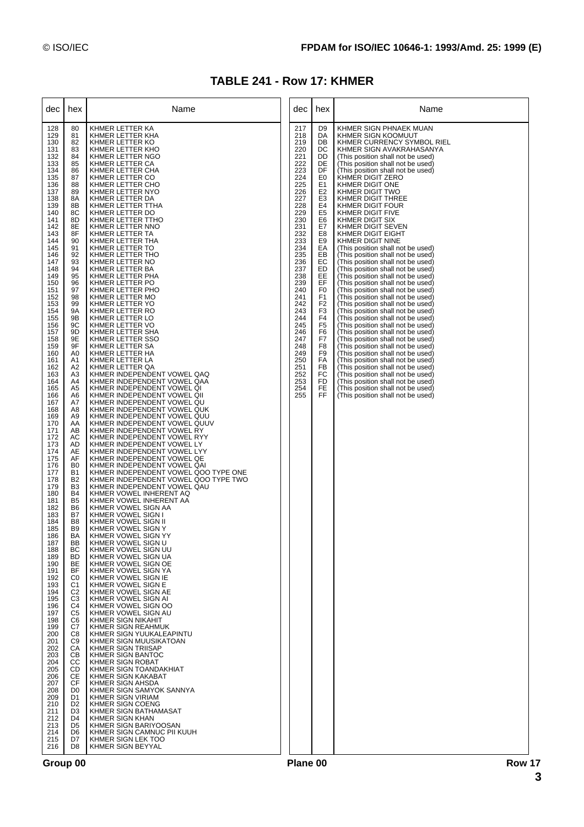# **TABLE 241 - Row 17: KHMER**

| dec                                                                                                                                                                                                                                                                                                                                                                                                                                                                                                                                                                                                                                         | hex                                                                                                                                                                                                                                                                                                                                                                                                                                                                                                                                                                                                                                                                                                                                                                                                                                                                                                                           | Name                                                                                                                                                                                                                                                                                                                                                                                                                                                                                                                                                                                                                                                                                                                                                                                                                                                                                                                                                                                                                                                                                                                                                                                                                                                                                                                                                                                                                                                                                                                                                                                                                                                                                                                                                                                                                                                                                                                                                                                                                                                                                                                                                          | dec                                                                                                                                                                                                                                                                           | hex                                                                                                                                                                                                                                                                                                                                                       | Name                                                                                                                                                                                                                                                                                                                                                                                                                                                                                                                                                                                                                                                                                                                                                                                                                                                                                                                                                                                                                                                                                                                                                                                                                                                                               |
|---------------------------------------------------------------------------------------------------------------------------------------------------------------------------------------------------------------------------------------------------------------------------------------------------------------------------------------------------------------------------------------------------------------------------------------------------------------------------------------------------------------------------------------------------------------------------------------------------------------------------------------------|-------------------------------------------------------------------------------------------------------------------------------------------------------------------------------------------------------------------------------------------------------------------------------------------------------------------------------------------------------------------------------------------------------------------------------------------------------------------------------------------------------------------------------------------------------------------------------------------------------------------------------------------------------------------------------------------------------------------------------------------------------------------------------------------------------------------------------------------------------------------------------------------------------------------------------|---------------------------------------------------------------------------------------------------------------------------------------------------------------------------------------------------------------------------------------------------------------------------------------------------------------------------------------------------------------------------------------------------------------------------------------------------------------------------------------------------------------------------------------------------------------------------------------------------------------------------------------------------------------------------------------------------------------------------------------------------------------------------------------------------------------------------------------------------------------------------------------------------------------------------------------------------------------------------------------------------------------------------------------------------------------------------------------------------------------------------------------------------------------------------------------------------------------------------------------------------------------------------------------------------------------------------------------------------------------------------------------------------------------------------------------------------------------------------------------------------------------------------------------------------------------------------------------------------------------------------------------------------------------------------------------------------------------------------------------------------------------------------------------------------------------------------------------------------------------------------------------------------------------------------------------------------------------------------------------------------------------------------------------------------------------------------------------------------------------------------------------------------------------|-------------------------------------------------------------------------------------------------------------------------------------------------------------------------------------------------------------------------------------------------------------------------------|-----------------------------------------------------------------------------------------------------------------------------------------------------------------------------------------------------------------------------------------------------------------------------------------------------------------------------------------------------------|------------------------------------------------------------------------------------------------------------------------------------------------------------------------------------------------------------------------------------------------------------------------------------------------------------------------------------------------------------------------------------------------------------------------------------------------------------------------------------------------------------------------------------------------------------------------------------------------------------------------------------------------------------------------------------------------------------------------------------------------------------------------------------------------------------------------------------------------------------------------------------------------------------------------------------------------------------------------------------------------------------------------------------------------------------------------------------------------------------------------------------------------------------------------------------------------------------------------------------------------------------------------------------|
| 128<br>129<br>130<br>131<br>132<br>133<br>134<br>135<br>136<br>137<br>138<br>139<br>140<br>141<br>142<br>143<br>144<br>145<br>146<br>147<br>148<br>149<br>150<br>151<br>152<br>153<br>154<br>155<br>156<br>157<br>158<br>159<br>160<br>161<br>162<br>163<br>164<br>165<br>166<br>167<br>168<br>169<br>170<br>171<br>172<br>173<br>174<br>175<br>176<br>177<br>178<br>179<br>180<br>181<br>182<br>183<br>184<br>185<br>186<br>187<br>188<br>189<br>190<br>191<br>192<br>193<br>194<br>195<br>196<br>197<br>198<br>199<br>200<br>201<br>202<br>203<br>204<br>205<br>206<br>207<br>208<br>209<br>210<br>211<br>212<br>213<br>214<br>215<br>216 | 80<br>81<br>82<br>83<br>84<br>85<br>86<br>87<br>88<br>89<br>8A<br>8B<br>8C<br>8D<br>8E<br>8F<br>90<br>91<br>92<br>93<br>94<br>95<br>96<br>97<br>98<br>99<br><b>9A</b><br>9Β<br>9C<br>9D<br>9E<br>9F<br>A <sub>0</sub><br>A1<br>A <sub>2</sub><br>A <sub>3</sub><br>A4<br>A <sub>5</sub><br>A6<br>A7<br>A8<br>A <sub>9</sub><br>AA<br>AB<br>AC<br>AD<br>AE<br>AF<br>B <sub>0</sub><br><b>B1</b><br>B <sub>2</sub><br>B <sub>3</sub><br><b>B4</b><br>B <sub>5</sub><br>B <sub>6</sub><br>B7<br>B <sub>8</sub><br>B <sub>9</sub><br><b>BA</b><br>ВB<br>BC<br><b>BD</b><br><b>BE</b><br><b>BF</b><br>C <sub>0</sub><br>C1<br>C <sub>2</sub><br>C <sub>3</sub><br>C <sub>4</sub><br>C <sub>5</sub><br>C <sub>6</sub><br>C7<br>C8<br>C <sub>9</sub><br>CA<br><b>CB</b><br>CС<br>CD<br>CE<br><b>CF</b><br>D <sub>0</sub><br>D <sub>1</sub><br>D <sub>2</sub><br>D <sub>3</sub><br>D <sub>4</sub><br>D <sub>5</sub><br>D6<br>D7<br>D8 | KHMER LETTER KA<br>KHMER LETTER KHA<br>KHMER LETTER KO<br>KHMER LETTER KHO<br>KHMER LETTER NGO<br>KHMER LETTER CA<br>KHMER LETTER CHA<br>KHMER LETTER CO<br>KHMER LETTER CHO<br>KHMER LETTER NYO<br>KHMER LETTER DA<br>KHMER LETTER TTHA<br>KHMER LETTER DO<br>KHMER LETTER TTHO<br>KHMER LETTER NNO<br>KHMER LETTER TA<br>KHMER LETTER THA<br>KHMER LETTER TO<br>KHMER LETTER THO<br>KHMER LETTER NO<br>KHMER LETTER BA<br>KHMER LETTER PHA<br>KHMER LETTER PO<br>KHMER LETTER PHO<br>KHMER LETTER MO<br>KHMER LETTER YO<br>KHMER LETTER RO<br>KHMER LETTER LO<br>KHMER LETTER VO<br>KHMER LETTER SHA<br>KHMER LETTER SSO<br>KHMER LETTER SA<br>KHMER LETTER HA<br>KHMER LETTER LA<br>KHMER LETTER QA<br>KHMER INDEPENDENT VOWEL QAQ<br>KHMER INDEPENDENT VOWEL QAA<br>KHMER INDEPENDENT VOWEL QI<br>KHMER INDEPENDENT VOWEL QII<br>KHMER INDEPENDENT VOWEL QU<br>KHMER INDEPENDENT VOWEL QUK<br>KHMER INDEPENDENT VOWEL QUU<br>KHMER INDEPENDENT VOWEL QUUV<br>KHMER INDEPENDENT VOWEL RY<br>KHMER INDEPENDENT VOWEL RYY<br>KHMER INDEPENDENT VOWEL LY<br>KHMER INDEPENDENT VOWEL LYY<br>KHMER INDEPENDENT VOWEL QE<br>KHMER INDEPENDENT VOWEL QAI<br>KHMER INDEPENDENT VOWEL QOO TYPE ONE<br>KHMER INDEPENDENT VOWEL QOO TYPE TWO<br>KHMER INDEPENDENT VOWEL QAU<br>KHMER VOWEL INHERENT AQ<br>KHMER VOWEL INHERENT AA<br>KHMER VOWEL SIGN AA<br>KHMER VOWEL SIGN I<br>KHMER VOWEL SIGN II<br>KHMER VOWEL SIGN Y<br>KHMER VOWEL SIGN YY<br>KHMER VOWEL SIGN U<br>KHMER VOWEL SIGN UU<br>KHMER VOWEL SIGN UA<br>KHMER VOWEL SIGN OE<br>KHMER VOWEL SIGN YA<br>KHMER VOWEL SIGN IE<br>KHMER VOWEL SIGN E<br>KHMER VOWEL SIGN AE<br>KHMER VOWEL SIGN AI<br>KHMER VOWEL SIGN OO<br>KHMER VOWEL SIGN AU<br>KHMER SIGN NIKAHIT<br>KHMER SIGN REAHMUK<br>KHMER SIGN YUUKALEAPINTU<br>KHMER SIGN MUUSIKATOAN<br>KHMER SIGN TRIISAP<br>KHMER SIGN BANTOC<br>KHMER SIGN ROBAT<br>KHMER SIGN TOANDAKHIAT<br>KHMER SIGN KAKABAT<br>KHMER SIGN AHSDA<br>KHMER SIGN SAMYOK SANNYA<br>KHMER SIGN VIRIAM<br>KHMER SIGN COENG<br>KHMER SIGN BATHAMASAT<br>KHMER SIGN KHAN<br>KHMER SIGN BARIYOOSAN<br>KHMER SIGN CAMNUC PII KUUH<br>KHMER SIGN LEK TOO<br>KHMER SIGN BEYYAL | 217<br>218<br>219<br>220<br>221<br>222<br>223<br>224<br>225<br>226<br>227<br>228<br>229<br>230<br>231<br>232<br>233<br>234<br>235<br>236<br>237<br>238<br>239<br>240<br>241<br>242<br>243<br>244<br>245<br>246<br>247<br>248<br>249<br>250<br>251<br>252<br>253<br>254<br>255 | D9<br>DA<br>DB<br>DC<br>DD<br>DE<br>DF<br>E0<br>E1<br>E <sub>2</sub><br>E <sub>3</sub><br>E4<br>E5<br>E6<br>E7<br>E <sub>8</sub><br>E9<br>EA<br>EB<br>EC<br>ED<br>EE<br>EF<br>F <sub>0</sub><br>F1<br>F <sub>2</sub><br>F <sub>3</sub><br>F <sub>4</sub><br>F <sub>5</sub><br>F6<br>F7<br>F8<br>F <sub>9</sub><br>FA<br>FB<br>FC<br><b>FD</b><br>FE<br>FF | KHMER SIGN PHNAEK MUAN<br>KHMER SIGN KOOMUUT<br>KHMER CURRENCY SYMBOL RIEL<br>KHMER SIGN AVAKRAHASANYA<br>(This position shall not be used)<br>(This position shall not be used)<br>(This position shall not be used)<br>KHMER DIGIT ZERO<br>KHMER DIGIT ONE<br>KHMER DIGIT TWO<br>KHMER DIGIT THREE<br>KHMER DIGIT FOUR<br>KHMER DIGIT FIVE<br><b>KHMER DIGIT SIX</b><br>KHMER DIGIT SEVEN<br>KHMER DIGIT EIGHT<br>KHMER DIGIT NINE<br>(This position shall not be used)<br>(This position shall not be used)<br>(This position shall not be used)<br>(This position shall not be used)<br>(This position shall not be used)<br>(This position shall not be used)<br>(This position shall not be used)<br>(This position shall not be used)<br>(This position shall not be used)<br>(This position shall not be used)<br>(This position shall not be used)<br>(This position shall not be used)<br>(This position shall not be used)<br>(This position shall not be used)<br>(This position shall not be used)<br>(This position shall not be used)<br>(This position shall not be used)<br>(This position shall not be used)<br>(This position shall not be used)<br>(This position shall not be used)<br>(This position shall not be used)<br>(This position shall not be used) |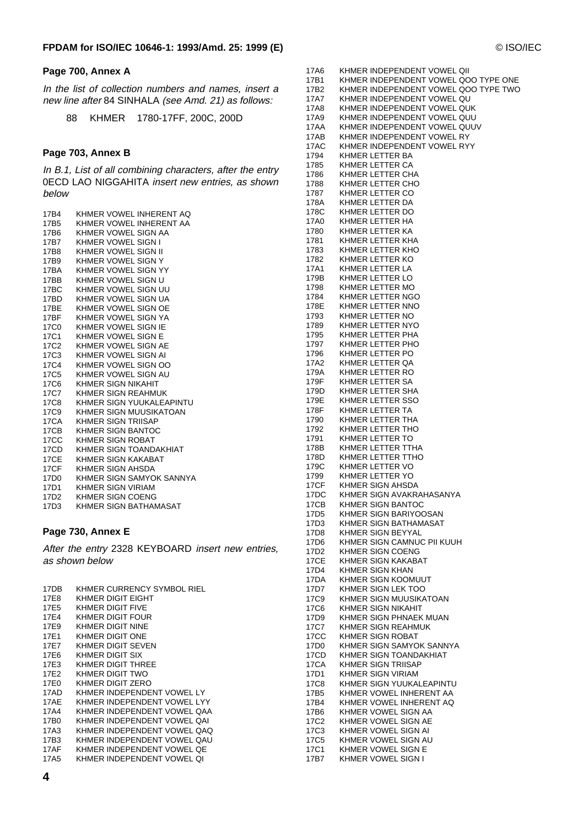#### **Page 700, Annex A**

In the list of collection numbers and names, insert a new line after 84 SINHALA (see Amd. 21) as follows:

88 KHMER 1780-17FF, 200C, 200D

#### **Page 703, Annex B**

In B.1, List of all combining characters, after the entry 0ECD LAO NIGGAHITA insert new entries, as shown below

| 17B4             | KHMER VOWEL INHERENT AQ  |
|------------------|--------------------------|
| 17B5             | KHMER VOWEL INHERENT AA  |
| 17B6             | KHMER VOWEL SIGN AA      |
| 17B7             | KHMER VOWEL SIGN I       |
| 17B8             | KHMER VOWEL SIGN II      |
| 17B9             | KHMER VOWEL SIGN Y       |
| 17BA             | KHMER VOWEL SIGN YY      |
| 17BB             | KHMER VOWEL SIGN U       |
| 17BC             | KHMER VOWEL SIGN UU      |
| 17BD             | KHMER VOWEL SIGN UA      |
| 17BE             | KHMER VOWEL SIGN OE      |
| 17BF             | KHMER VOWEL SIGN YA      |
| 17C0             | KHMER VOWEL SIGN IE      |
| 17C1             | KHMER VOWEL SIGN E       |
| 17C2             | KHMER VOWEL SIGN AE      |
| 17C3             | KHMER VOWEL SIGN AI      |
| 17C4             | KHMER VOWEL SIGN OO      |
| 17C5             | KHMER VOWEL SIGN AU      |
| 17C6             | KHMER SIGN NIKAHIT       |
| 17C7             | KHMER SIGN REAHMUK       |
| 17C8             | KHMER SIGN YUUKALEAPINTU |
| 17C9             | KHMER SIGN MUUSIKATOAN   |
| 17CA             | KHMER SIGN TRIISAP       |
| 17CB             | KHMER SIGN BANTOC        |
| 17 <sub>CC</sub> | KHMER SIGN ROBAT         |
| 17CD             | KHMER SIGN TOANDAKHIAT   |
| 17CE             | KHMER SIGN KAKABAT       |
| 17CF             | KHMER SIGN AHSDA         |
| 17D0             | KHMER SIGN SAMYOK SANNYA |
| 17D1             | KHMER SIGN VIRIAM        |
| 17D2             | <b>KHMER SIGN COENG</b>  |
| 17D3             | KHMER SIGN BATHAMASAT    |

#### **Page 730, Annex E**

After the entry 2328 KEYBOARD insert new entries, as shown below

| 17DB        | KHMER CURRENCY SYMBOL RIEL   |
|-------------|------------------------------|
| 17F8        | KHMER DIGIT EIGHT            |
| 17E5        | KHMER DIGIT FIVE             |
| 17E4        | KHMER DIGIT FOUR             |
| 17E9        | KHMER DIGIT NINE             |
| 17E1        | KHMER DIGIT ONE              |
| 17E7        | KHMER DIGIT SEVEN            |
| 17E6        | KHMER DIGIT SIX              |
| 17E3        | KHMER DIGIT THREE            |
| 17E2        | KHMER DIGIT TWO              |
| 17E0        | KHMER DIGIT ZERO             |
| 17AD        | KHMER INDEPENDENT VOWEL LY   |
| <b>17AE</b> | KHMER INDEPENDENT VOWEL I YY |
| 17A4        | KHMER INDEPENDENT VOWEL QAA  |
| 17B0        | KHMER INDEPENDENT VOWEL QAI  |
| 17A3        | KHMER INDEPENDENT VOWEL QAQ  |
| 17B3        | KHMER INDEPENDENT VOWEL OAU  |
| 17AF        | KHMER INDEPENDENT VOWEL QE   |
| 17A5        | KHMER INDEPENDENT VOWEL OI   |

17A6 KHMER INDEPENDENT VOWEL QII 17B1 KHMER INDEPENDENT VOWEL QOO TYPE ONE 17B2 KHMER INDEPENDENT VOWEL QOO TYPE TWO 17A7 KHMER INDEPENDENT VOWEL QU<br>17A8 KHMER INDEPENDENT VOWEL QUI KHMER INDEPENDENT VOWEL QUK 17A9 KHMER INDEPENDENT VOWEL QUU 17AA KHMER INDEPENDENT VOWEL QUUV<br>17AB KHMER INDEPENDENT VOWEL RY 17AB KHMER INDEPENDENT VOWEL RY<br>17AC KHMER INDEPENDENT VOWEL RY 17AC KHMER INDEPENDENT VOWEL RYY 1794 KHMER LETTER BA<br>1785 KHMER LETTER CA KHMER LETTER CA 1786 KHMER LETTER CHA 1788 KHMER LETTER CHO 1787 KHMER LETTER CO<br>178A KHMER LETTER DA 178A KHMER LETTER DA<br>178C KHMER LETTER DO KHMER LETTER DO 17A0 KHMER LETTER HA 1780 KHMER LETTER KA<br>1781 KHMER LETTER KH KHMER LETTER KHA 1783 KHMER LETTER KHO 1782 KHMER LETTER KO 17A1 KHMER LETTER LA 179B KHMER LETTER LO<br>1798 KHMER LETTER MC KHMER LETTER MO 1784 KHMER LETTER NGO<br>178E KHMER LETTER NNO KHMER LETTER NNO 1793 KHMER LETTER NO 1789 KHMER LETTER NYO 1795 KHMER LETTER PHA 1797 KHMER LETTER PHO<br>1796 KHMER LETTER PO KHMER LETTER PO 17A2 KHMER LETTER QA 179A KHMER LETTER RO 179F KHMER LETTER SA<br>179D KHMER LETTER SH 179D KHMER LETTER SHA<br>179E KHMER LETTER SSO KHMER LETTER SSO 178F KHMER LETTER TA 1790 KHMER LETTER THA 1792 KHMER LETTER THO<br>1791 KHMER LETTER TO 1791 KHMER LETTER TO<br>178B KHMER LETTER TTI 178B KHMER LETTER TTHA<br>178D KHMER LETTER TTHC 178D KHMER LETTER TTHO<br>179C KHMER LETTER VO KHMER LETTER VO 1799 KHMER LETTER YO<br>17CF KHMER SIGN AHSD. 17CF KHMER SIGN AHSDA<br>17DC KHMER SIGN AVAKR 17DC KHMER SIGN AVAKRAHASANYA<br>17CB KHMER SIGN BANTOC KHMER SIGN BANTOC 17D5 KHMER SIGN BARIYOOSAN 17D3 KHMER SIGN BATHAMASAT<br>17D8 KHMER SIGN BEYYAL KHMER SIGN BEYYAL 17D6 KHMER SIGN CAMNUC PII KUUH<br>17D2 KHMER SIGN COENG KHMER SIGN COENG 17CE KHMER SIGN KAKABAT 17D4 KHMER SIGN KHAN<br>17DA KHMER SIGN KOOM KHMER SIGN KOOMUUT 17D7 KHMER SIGN LEK TOO<br>17C9 KHMER SIGN MUUSIKA KHMER SIGN MUUSIKATOAN 17C6 KHMER SIGN NIKAHIT<br>17D9 KHMER SIGN PHNAEK 17D9 KHMER SIGN PHNAEK MUAN<br>17C7 KHMER SIGN REAHMUK KHMER SIGN REAHMUK 17CC KHMER SIGN ROBAT<br>17D0 KHMER SIGN SAMYC KHMER SIGN SAMYOK SANNYA 17CD KHMER SIGN TOANDAKHIAT 17CA KHMER SIGN TRIISAP 17D1 KHMER SIGN VIRIAM<br>17C8 KHMER SIGN YUUKA 17C8 KHMER SIGN YUUKALEAPINTU<br>17B5 KHMER VOWEL INHERENT AA KHMER VOWEL INHERENT AA 17B4 KHMER VOWEL INHERENT AQ 17B6 KHMER VOWEL SIGN AA 17C2 KHMER VOWEL SIGN AE 17C3 KHMER VOWEL SIGN AI 17C5 KHMER VOWEL SIGN AU 17C1 KHMER VOWEL SIGN E 17B7 KHMER VOWEL SIGN I